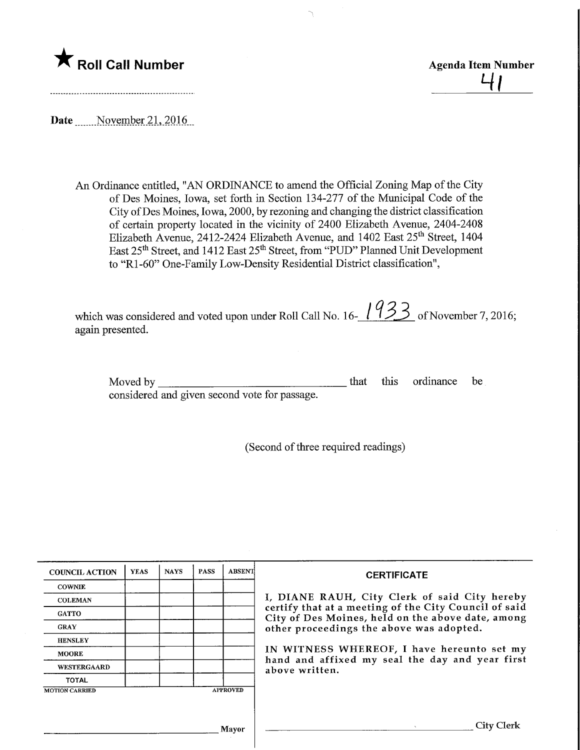

<u>प।</u>

Date November 21, 2016

An Ordinance entitled, "AN ORDINANCE to amend the Official Zoning Map of the City of Des Moines, Iowa, set forth in Section 134-277 of the Municipal Code of the City ofDes Moines, Iowa, 2000, by rezoning and changing the district classification of certain property located in the vicinity of 2400 Elizabeth Avenue, 2404-2408 Elizabeth Avenue, 2412-2424 Elizabeth Avenue, and 1402 East 25<sup>th</sup> Street, 1404 East 25<sup>th</sup> Street, and 1412 East 25<sup>th</sup> Street, from "PUD" Planned Unit Development to "Rl-60" One-Family Low-Density Residential District classification",

which was considered and voted upon under Roll Call No.  $16 - 1$  ( $\geq$ ) of November 7, 2016; again presented.

Moved by considered and given second vote for passage. that this ordinance be

(Second of three required readings)

| <b>COUNCIL ACTION</b> | <b>YEAS</b> | <b>NAYS</b> | <b>PASS</b> | <b>ABSENT</b>   | <b>CERTIFICATE</b>                                                                                                                                          |  |  |  |  |  |
|-----------------------|-------------|-------------|-------------|-----------------|-------------------------------------------------------------------------------------------------------------------------------------------------------------|--|--|--|--|--|
| <b>COWNIE</b>         |             |             |             |                 |                                                                                                                                                             |  |  |  |  |  |
| <b>COLEMAN</b>        |             |             |             |                 | I, DIANE RAUH, City Clerk of said City hereby<br>certify that at a meeting of the City Council of said<br>City of Des Moines, held on the above date, among |  |  |  |  |  |
| <b>GATTO</b>          |             |             |             |                 |                                                                                                                                                             |  |  |  |  |  |
| <b>GRAY</b>           |             |             |             |                 | other proceedings the above was adopted.                                                                                                                    |  |  |  |  |  |
| <b>HENSLEY</b>        |             |             |             |                 |                                                                                                                                                             |  |  |  |  |  |
| <b>MOORE</b>          |             |             |             |                 | IN WITNESS WHEREOF, I have hereunto set my<br>hand and affixed my seal the day and year first<br>above written.                                             |  |  |  |  |  |
| <b>WESTERGAARD</b>    |             |             |             |                 |                                                                                                                                                             |  |  |  |  |  |
| <b>TOTAL</b>          |             |             |             |                 |                                                                                                                                                             |  |  |  |  |  |
| <b>MOTION CARRIED</b> |             |             |             | <b>APPROVED</b> |                                                                                                                                                             |  |  |  |  |  |
|                       |             |             |             |                 |                                                                                                                                                             |  |  |  |  |  |
|                       |             |             |             |                 |                                                                                                                                                             |  |  |  |  |  |
| Mayor                 |             |             |             |                 | City Clerk                                                                                                                                                  |  |  |  |  |  |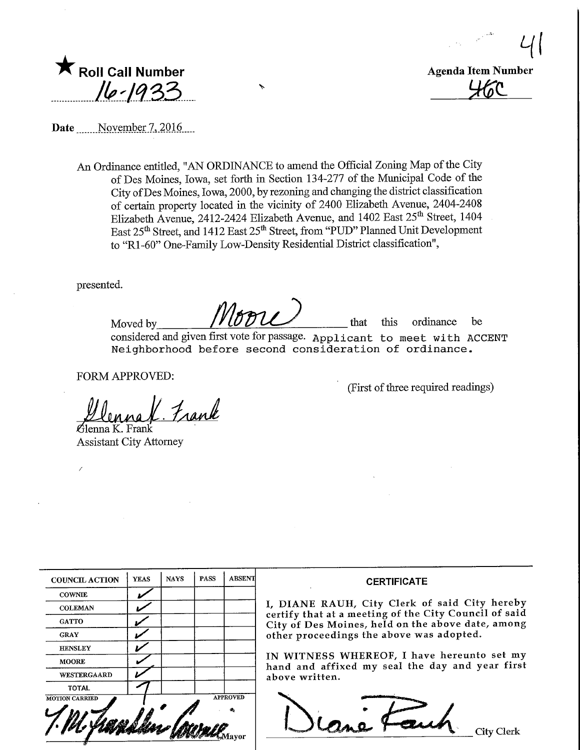$\frac{1}{2}$ HEC<br>HEC



Date November 7, 2016

An Ordinance entitled, "AN ORDINANCE to amend the Official Zoning Map of the City of Des Moines, Iowa, set forth in Section 134-277 of the Municipal Code of the City ofDes Moines, Iowa, 2000, by rezoning and changing the district classification of certain property located in the vicinity of 2400 Elizabeth. Avenue, 2404-2408 Elizabeth Avenue, 2412-2424 Elizabeth Avenue, and 1402 East 25<sup>th</sup> Street, 1404 East 25th Street, and 1412 East 25th Street, from "PUD" Planned Unit Development to "Rl-60" One-Family Low-Density Residential District classification",

presented.

Moved by  $M \circ \mathcal{D}$  that this ordinance be considered and given first vote for passage. Applicant to meet with ACCENT Neighborhood before second consideration of ordinance.

FORM APPROVED:

Frank

rlenna K. Frank Assistant City Attorney

| <b>COUNCIL ACTION</b> | <b>YEAS</b> | <b>NAYS</b> | <b>PASS</b> | <b>ABSENT</b>   |
|-----------------------|-------------|-------------|-------------|-----------------|
| <b>COWNIE</b>         |             |             |             |                 |
| <b>COLEMAN</b>        |             |             |             |                 |
| <b>GATTO</b>          |             |             |             |                 |
| <b>GRAY</b>           |             |             |             |                 |
| <b>HENSLEY</b>        |             |             |             |                 |
| <b>MOORE</b>          |             |             |             |                 |
| WESTERGAARD           |             |             |             |                 |
| <b>TOTAL</b>          |             |             |             |                 |
| <b>MOTION CARRIED</b> |             |             |             | <b>APPROVED</b> |

## **CERTIFICATE**

(First of three required readings)

I, DIANE RAUH/ City Clerk of said City hereby certify that at a meeting of the City Council of said City of Des Moines, held on the above date, among other proceedings the above was adopted.

IN WITNESS WHEREOF, I have hereunto set my hand and affixed my seal the day and year first above written.

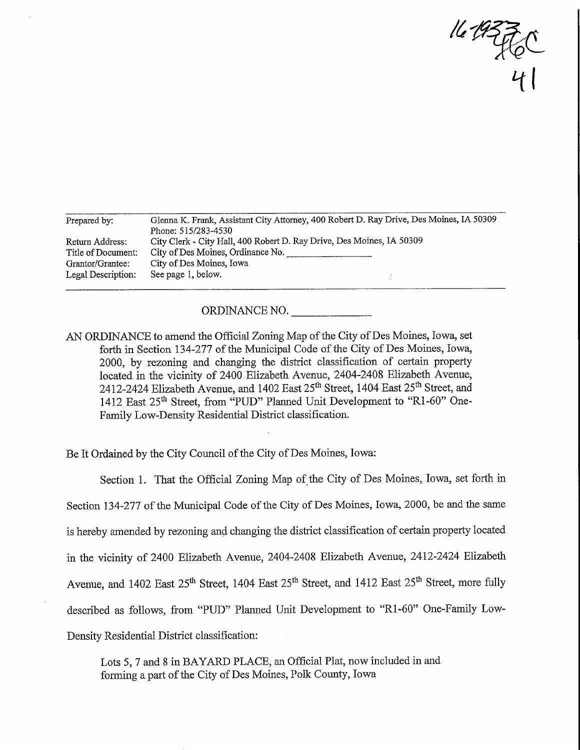$443760$ 

| Prepared by:       | Glenna K. Frank, Assistant City Attorney, 400 Robert D. Ray Drive, Des Moines, IA 50309 |  |  |  |  |  |  |
|--------------------|-----------------------------------------------------------------------------------------|--|--|--|--|--|--|
|                    | Phone: 515/283-4530                                                                     |  |  |  |  |  |  |
| Return Address:    | City Clerk - City Hall, 400 Robert D. Ray Drive, Des Moines, IA 50309                   |  |  |  |  |  |  |
| Title of Document: | City of Des Moines, Ordinance No.                                                       |  |  |  |  |  |  |
| Grantor/Grantee:   | City of Des Moines, Iowa                                                                |  |  |  |  |  |  |
| Legal Description: | See page 1, below.                                                                      |  |  |  |  |  |  |

## ORDINANCE NO.

AN ORDINANCE to amend the Official Zoning Map of the City of Des Moines, Iowa, set forth in Section 134-277 of the Municipal Code of the City of Des Moines, Iowa, 2000, by rezoning and changing the district classification of certain property located in the vicinity of 2400 Elizabeth Avenue, 2404-2408 Elizabeth Avenue, 2412-2424 Elizabeth Avenue, and 1402 East 25<sup>th</sup> Street, 1404 East 25<sup>th</sup> Street, and 1412 East 25<sup>th</sup> Street, from "PUD" Planned Unit Development to "R1-60" One-Family Low-Density Residential District classification.

Be It Ordained by the City Council of the City of Des Moines, Iowa:

Section 1. That the Official Zoning Map of the City of Des Moines, Iowa, set forth in Section 134-277 of the Municipal Code of the City of Des Moines, Iowa, 2000, be and the same is hereby amended by rezoning and changing the district classification of certain property located in the vicinity of 2400 Elizabeth Avenue, 2404-2408 Elizabeth Avenue, 2412-2424 Elizabeth Avenue, and 1402 East 25<sup>th</sup> Street, 1404 East 25<sup>th</sup> Street, and 1412 East 25<sup>th</sup> Street, more fully described as follows, from "PUD" Planned Unit Development to "Rl-60" One-Family Low-Density Residential District classification:

Lots 5, 7 and 8 in BAYARD PLACE, an Official Plat, now included in and forming a part of the City of Des Moines, Polk County, Iowa